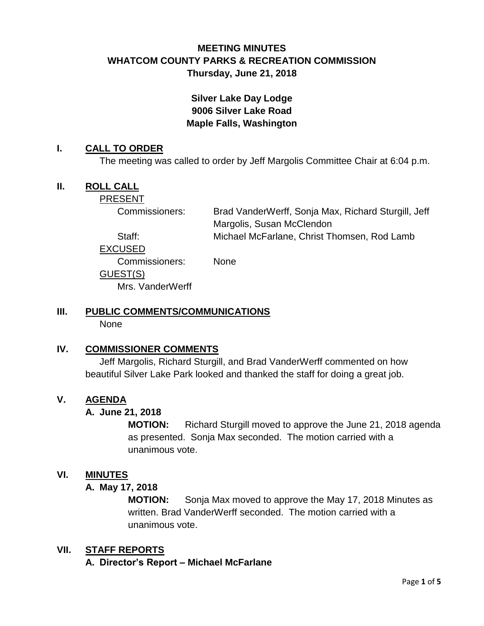## **MEETING MINUTES WHATCOM COUNTY PARKS & RECREATION COMMISSION Thursday, June 21, 2018**

## **Silver Lake Day Lodge 9006 Silver Lake Road Maple Falls, Washington**

#### **I. CALL TO ORDER**

The meeting was called to order by Jeff Margolis Committee Chair at 6:04 p.m.

### **II. ROLL CALL**

PRESENT

Commissioners: Brad VanderWerff, Sonja Max, Richard Sturgill, Jeff Margolis, Susan McClendon Staff: Michael McFarlane, Christ Thomsen, Rod Lamb

EXCUSED

Commissioners: None

### GUEST(S)

Mrs. VanderWerff

# **III. PUBLIC COMMENTS/COMMUNICATIONS**

None

### **IV. COMMISSIONER COMMENTS**

Jeff Margolis, Richard Sturgill, and Brad VanderWerff commented on how beautiful Silver Lake Park looked and thanked the staff for doing a great job.

### **V. AGENDA**

### **A. June 21, 2018**

**MOTION:** Richard Sturgill moved to approve the June 21, 2018 agenda as presented. Sonja Max seconded. The motion carried with a unanimous vote.

### **VI. MINUTES**

#### **A. May 17, 2018**

**MOTION:** Sonja Max moved to approve the May 17, 2018 Minutes as written. Brad VanderWerff seconded. The motion carried with a unanimous vote.

### **VII. STAFF REPORTS**

**A. Director's Report – Michael McFarlane**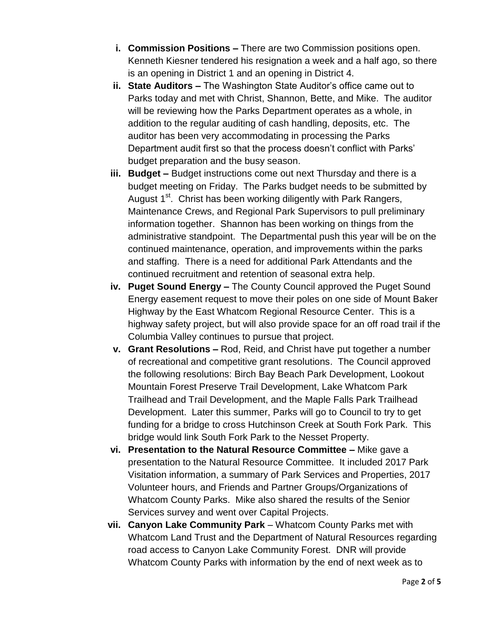- **i. Commission Positions –** There are two Commission positions open. Kenneth Kiesner tendered his resignation a week and a half ago, so there is an opening in District 1 and an opening in District 4.
- **ii. State Auditors –** The Washington State Auditor's office came out to Parks today and met with Christ, Shannon, Bette, and Mike. The auditor will be reviewing how the Parks Department operates as a whole, in addition to the regular auditing of cash handling, deposits, etc. The auditor has been very accommodating in processing the Parks Department audit first so that the process doesn't conflict with Parks' budget preparation and the busy season.
- **iii. Budget –** Budget instructions come out next Thursday and there is a budget meeting on Friday. The Parks budget needs to be submitted by August 1<sup>st</sup>. Christ has been working diligently with Park Rangers, Maintenance Crews, and Regional Park Supervisors to pull preliminary information together. Shannon has been working on things from the administrative standpoint. The Departmental push this year will be on the continued maintenance, operation, and improvements within the parks and staffing. There is a need for additional Park Attendants and the continued recruitment and retention of seasonal extra help.
- **iv. Puget Sound Energy –** The County Council approved the Puget Sound Energy easement request to move their poles on one side of Mount Baker Highway by the East Whatcom Regional Resource Center. This is a highway safety project, but will also provide space for an off road trail if the Columbia Valley continues to pursue that project.
- **v. Grant Resolutions –** Rod, Reid, and Christ have put together a number of recreational and competitive grant resolutions. The Council approved the following resolutions: Birch Bay Beach Park Development, Lookout Mountain Forest Preserve Trail Development, Lake Whatcom Park Trailhead and Trail Development, and the Maple Falls Park Trailhead Development. Later this summer, Parks will go to Council to try to get funding for a bridge to cross Hutchinson Creek at South Fork Park. This bridge would link South Fork Park to the Nesset Property.
- **vi. Presentation to the Natural Resource Committee –** Mike gave a presentation to the Natural Resource Committee. It included 2017 Park Visitation information, a summary of Park Services and Properties, 2017 Volunteer hours, and Friends and Partner Groups/Organizations of Whatcom County Parks. Mike also shared the results of the Senior Services survey and went over Capital Projects.
- **vii. Canyon Lake Community Park** Whatcom County Parks met with Whatcom Land Trust and the Department of Natural Resources regarding road access to Canyon Lake Community Forest. DNR will provide Whatcom County Parks with information by the end of next week as to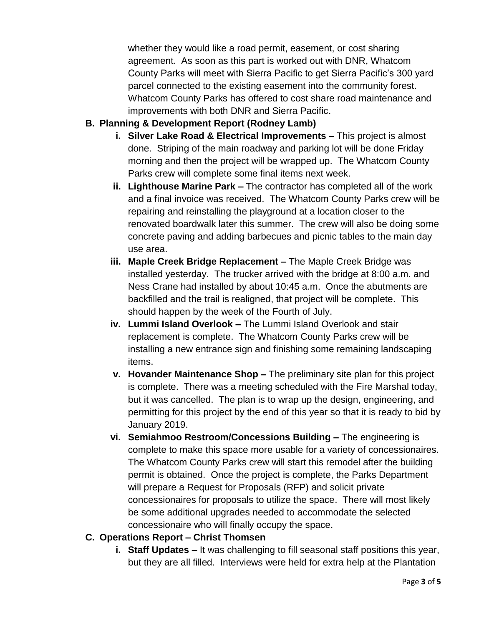whether they would like a road permit, easement, or cost sharing agreement. As soon as this part is worked out with DNR, Whatcom County Parks will meet with Sierra Pacific to get Sierra Pacific's 300 yard parcel connected to the existing easement into the community forest. Whatcom County Parks has offered to cost share road maintenance and improvements with both DNR and Sierra Pacific.

### **B. Planning & Development Report (Rodney Lamb)**

- **i. Silver Lake Road & Electrical Improvements –** This project is almost done. Striping of the main roadway and parking lot will be done Friday morning and then the project will be wrapped up. The Whatcom County Parks crew will complete some final items next week.
- **ii. Lighthouse Marine Park –** The contractor has completed all of the work and a final invoice was received. The Whatcom County Parks crew will be repairing and reinstalling the playground at a location closer to the renovated boardwalk later this summer. The crew will also be doing some concrete paving and adding barbecues and picnic tables to the main day use area.
- **iii. Maple Creek Bridge Replacement –** The Maple Creek Bridge was installed yesterday. The trucker arrived with the bridge at 8:00 a.m. and Ness Crane had installed by about 10:45 a.m. Once the abutments are backfilled and the trail is realigned, that project will be complete. This should happen by the week of the Fourth of July.
- **iv. Lummi Island Overlook –** The Lummi Island Overlook and stair replacement is complete. The Whatcom County Parks crew will be installing a new entrance sign and finishing some remaining landscaping items.
- **v. Hovander Maintenance Shop –** The preliminary site plan for this project is complete. There was a meeting scheduled with the Fire Marshal today, but it was cancelled. The plan is to wrap up the design, engineering, and permitting for this project by the end of this year so that it is ready to bid by January 2019.
- **vi. Semiahmoo Restroom/Concessions Building –** The engineering is complete to make this space more usable for a variety of concessionaires. The Whatcom County Parks crew will start this remodel after the building permit is obtained. Once the project is complete, the Parks Department will prepare a Request for Proposals (RFP) and solicit private concessionaires for proposals to utilize the space. There will most likely be some additional upgrades needed to accommodate the selected concessionaire who will finally occupy the space.

### **C. Operations Report – Christ Thomsen**

**i. Staff Updates –** It was challenging to fill seasonal staff positions this year, but they are all filled. Interviews were held for extra help at the Plantation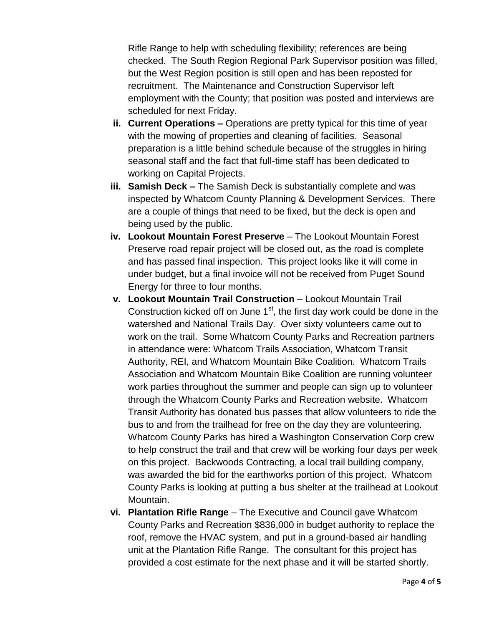Rifle Range to help with scheduling flexibility; references are being checked. The South Region Regional Park Supervisor position was filled, but the West Region position is still open and has been reposted for recruitment. The Maintenance and Construction Supervisor left employment with the County; that position was posted and interviews are scheduled for next Friday.

- **ii. Current Operations –** Operations are pretty typical for this time of year with the mowing of properties and cleaning of facilities. Seasonal preparation is a little behind schedule because of the struggles in hiring seasonal staff and the fact that full-time staff has been dedicated to working on Capital Projects.
- **iii. Samish Deck –** The Samish Deck is substantially complete and was inspected by Whatcom County Planning & Development Services. There are a couple of things that need to be fixed, but the deck is open and being used by the public.
- **iv. Lookout Mountain Forest Preserve** The Lookout Mountain Forest Preserve road repair project will be closed out, as the road is complete and has passed final inspection. This project looks like it will come in under budget, but a final invoice will not be received from Puget Sound Energy for three to four months.
- **v. Lookout Mountain Trail Construction** Lookout Mountain Trail Construction kicked off on June  $1<sup>st</sup>$ , the first day work could be done in the watershed and National Trails Day. Over sixty volunteers came out to work on the trail. Some Whatcom County Parks and Recreation partners in attendance were: Whatcom Trails Association, Whatcom Transit Authority, REI, and Whatcom Mountain Bike Coalition. Whatcom Trails Association and Whatcom Mountain Bike Coalition are running volunteer work parties throughout the summer and people can sign up to volunteer through the Whatcom County Parks and Recreation website. Whatcom Transit Authority has donated bus passes that allow volunteers to ride the bus to and from the trailhead for free on the day they are volunteering. Whatcom County Parks has hired a Washington Conservation Corp crew to help construct the trail and that crew will be working four days per week on this project. Backwoods Contracting, a local trail building company, was awarded the bid for the earthworks portion of this project. Whatcom County Parks is looking at putting a bus shelter at the trailhead at Lookout Mountain.
- **vi. Plantation Rifle Range** The Executive and Council gave Whatcom County Parks and Recreation \$836,000 in budget authority to replace the roof, remove the HVAC system, and put in a ground-based air handling unit at the Plantation Rifle Range. The consultant for this project has provided a cost estimate for the next phase and it will be started shortly.